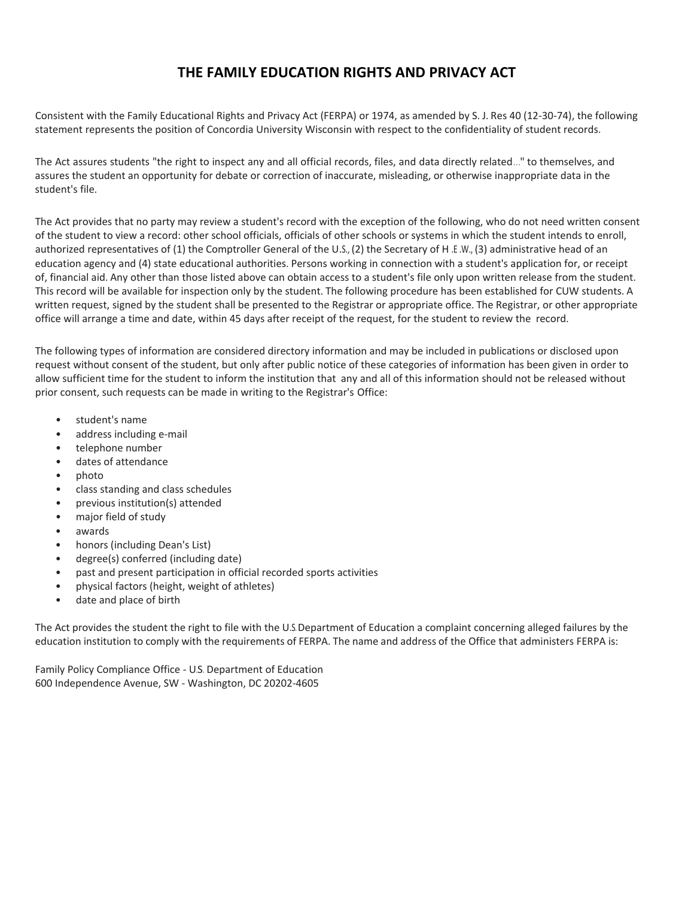## **THE FAMILY EDUCATION RIGHTS AND PRIVACY ACT**

Consistent with the Family Educational Rights and Privacy Act (FERPA) or 1974, as amended by S. J. Res 40 (12-30-74), the following statement represents the position of Concordia University Wisconsin with respect to the confidentiality of student records.

The Act assures students "the right to inspect any and all official records, files, and data directly related..." to themselves, and assures the student an opportunity for debate or correction of inaccurate, misleading, or otherwise inappropriate data in the student's file.

The Act provides that no party may review a student's record with the exception of the following, who do not need written consent of the student to view a record: other school officials, officials of other schools or systems in which the student intends to enroll, authorized representatives of (1) the Comptroller General of the U.S., (2) the Secretary of H.E.W., (3) administrative head of an education agency and (4) state educational authorities. Persons working in connection with a student's application for, or receipt of, financial aid. Any other than those listed above can obtain access to a student's file only upon written release from the student. This record will be available for inspection only by the student. The following procedure has been established for CUW students. A written request, signed by the student shall be presented to the Registrar or appropriate office. The Registrar, or other appropriate office will arrange a time and date, within 45 days after receipt of the request, for the student to review the record.

The following types of information are considered directory information and may be included in publications or disclosed upon request without consent of the student, but only after public notice of these categories of information has been given in order to allow sufficient time for the student to inform the institution that any and all of this information should not be released without prior consent, such requests can be made in writing to the Registrar's Office:

- student's name
- address including e-mail
- telephone number
- dates of attendance
- photo
- class standing and class schedules
- previous institution(s) attended
- major field of study
- awards
- honors (including Dean's List)
- degree(s) conferred (including date)
- past and present participation in official recorded sports activities
- physical factors (height, weight of athletes)
- date and place of birth

The Act provides the student the right to file with the U.S. Department of Education a complaint concerning alleged failures by the education institution to comply with the requirements of FERPA. The name and address of the Office that administers FERPA is:

Family Policy Compliance Office - U.S. Department of Education 600 Independence Avenue, SW - Washington, DC 20202-4605